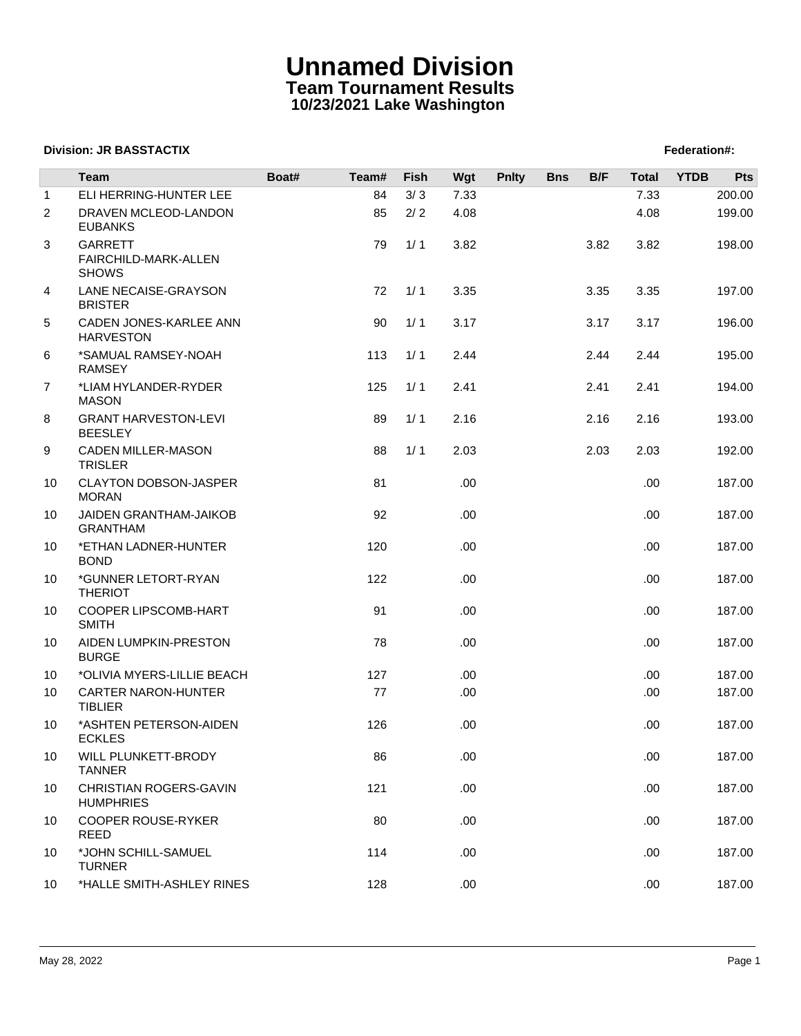## **Unnamed Division Team Tournament Results 10/23/2021 Lake Washington**

## **Division: JR BASSTACTIX Federation#:**

|                | <b>Team</b>                                            | Boat# | Team# | Fish | Wgt  | <b>Pnlty</b> | <b>Bns</b> | B/F  | <b>Total</b> | <b>YTDB</b> | Pts    |
|----------------|--------------------------------------------------------|-------|-------|------|------|--------------|------------|------|--------------|-------------|--------|
| $\mathbf{1}$   | ELI HERRING-HUNTER LEE                                 |       | 84    | 3/3  | 7.33 |              |            |      | 7.33         |             | 200.00 |
| $\overline{2}$ | DRAVEN MCLEOD-LANDON<br><b>EUBANKS</b>                 |       | 85    | 2/2  | 4.08 |              |            |      | 4.08         |             | 199.00 |
| 3              | <b>GARRETT</b><br>FAIRCHILD-MARK-ALLEN<br><b>SHOWS</b> |       | 79    | 1/1  | 3.82 |              |            | 3.82 | 3.82         |             | 198.00 |
| 4              | LANE NECAISE-GRAYSON<br><b>BRISTER</b>                 |       | 72    | 1/1  | 3.35 |              |            | 3.35 | 3.35         |             | 197.00 |
| 5              | CADEN JONES-KARLEE ANN<br><b>HARVESTON</b>             |       | 90    | 1/1  | 3.17 |              |            | 3.17 | 3.17         |             | 196.00 |
| 6              | *SAMUAL RAMSEY-NOAH<br><b>RAMSEY</b>                   |       | 113   | 1/1  | 2.44 |              |            | 2.44 | 2.44         |             | 195.00 |
| $\overline{7}$ | *LIAM HYLANDER-RYDER<br><b>MASON</b>                   |       | 125   | 1/1  | 2.41 |              |            | 2.41 | 2.41         |             | 194.00 |
| 8              | <b>GRANT HARVESTON-LEVI</b><br><b>BEESLEY</b>          |       | 89    | 1/1  | 2.16 |              |            | 2.16 | 2.16         |             | 193.00 |
| 9              | <b>CADEN MILLER-MASON</b><br><b>TRISLER</b>            |       | 88    | 1/1  | 2.03 |              |            | 2.03 | 2.03         |             | 192.00 |
| 10             | <b>CLAYTON DOBSON-JASPER</b><br><b>MORAN</b>           |       | 81    |      | .00  |              |            |      | .00.         |             | 187.00 |
| 10             | JAIDEN GRANTHAM-JAIKOB<br><b>GRANTHAM</b>              |       | 92    |      | .00  |              |            |      | .00          |             | 187.00 |
| 10             | *ETHAN LADNER-HUNTER<br><b>BOND</b>                    |       | 120   |      | .00  |              |            |      | .00.         |             | 187.00 |
| 10             | *GUNNER LETORT-RYAN<br><b>THERIOT</b>                  |       | 122   |      | .00  |              |            |      | .00.         |             | 187.00 |
| 10             | COOPER LIPSCOMB-HART<br><b>SMITH</b>                   |       | 91    |      | .00  |              |            |      | .00.         |             | 187.00 |
| 10             | AIDEN LUMPKIN-PRESTON<br><b>BURGE</b>                  |       | 78    |      | .00  |              |            |      | .00.         |             | 187.00 |
| 10             | *OLIVIA MYERS-LILLIE BEACH                             |       | 127   |      | .00  |              |            |      | .00.         |             | 187.00 |
| 10             | <b>CARTER NARON-HUNTER</b><br><b>TIBLIER</b>           |       | 77    |      | .00. |              |            |      | .00.         |             | 187.00 |
| 10             | *ASHTEN PETERSON-AIDEN<br><b>ECKLES</b>                |       | 126   |      | .00  |              |            |      | .00.         |             | 187.00 |
| 10             | WILL PLUNKETT-BRODY<br><b>TANNER</b>                   |       | 86    |      | .00  |              |            |      | .00.         |             | 187.00 |
| 10             | CHRISTIAN ROGERS-GAVIN<br><b>HUMPHRIES</b>             |       | 121   |      | .00  |              |            |      | .00.         |             | 187.00 |
| 10             | <b>COOPER ROUSE-RYKER</b><br><b>REED</b>               |       | 80    |      | .00. |              |            |      | .00.         |             | 187.00 |
| 10             | *JOHN SCHILL-SAMUEL<br><b>TURNER</b>                   |       | 114   |      | .00. |              |            |      | .00.         |             | 187.00 |
| 10             | *HALLE SMITH-ASHLEY RINES                              |       | 128   |      | .00. |              |            |      | .00.         |             | 187.00 |